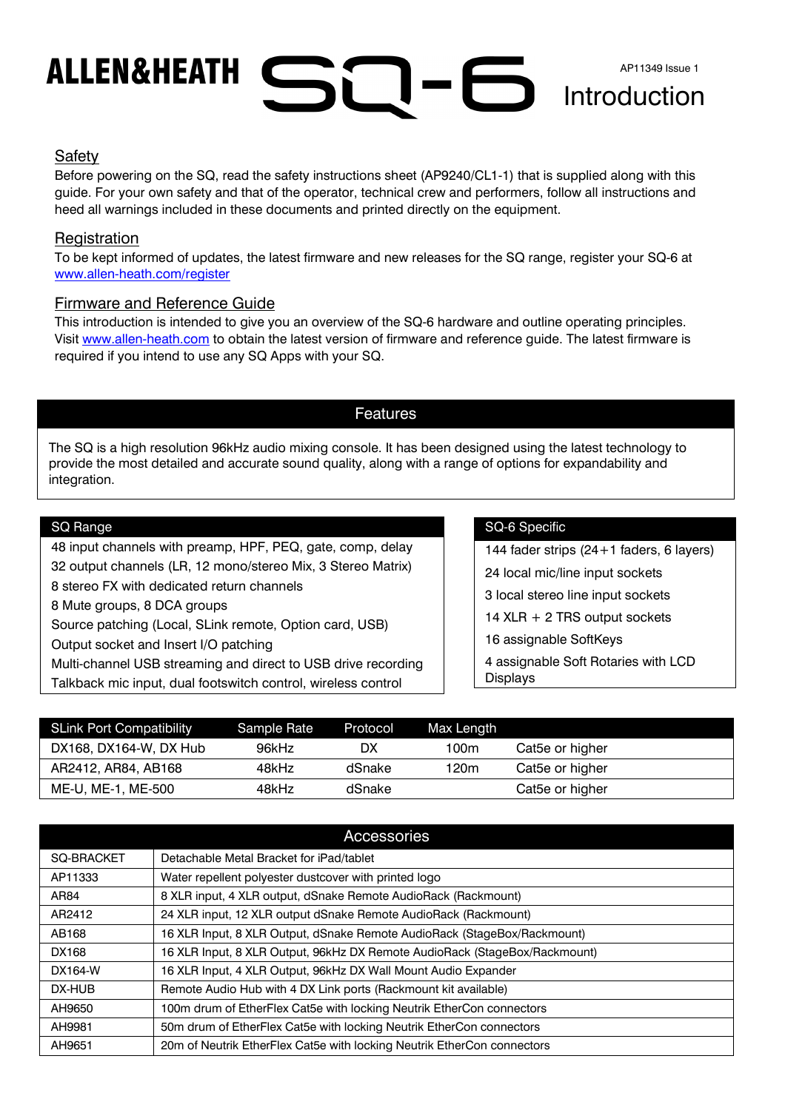# Introduction AP11349 Issue 1

#### Safety

Before powering on the SQ, read the safety instructions sheet (AP9240/CL1-1) that is supplied along with this guide. For your own safety and that of the operator, technical crew and performers, follow all instructions and heed all warnings included in these documents and printed directly on the equipment.

### **Registration**

To be kept informed of updates, the latest firmware and new releases for the SQ range, register your SQ-6 at www.allen-heath.com/register

#### Firmware and Reference Guide

This introduction is intended to give you an overview of the SQ-6 hardware and outline operating principles. Visit www.allen-heath.com to obtain the latest version of firmware and reference guide. The latest firmware is required if you intend to use any SQ Apps with your SQ.

#### Features

The SQ is a high resolution 96kHz audio mixing console. It has been designed using the latest technology to provide the most detailed and accurate sound quality, along with a range of options for expandability and integration.

#### SQ Range

48 input channels with preamp, HPF, PEQ, gate, comp, delay 32 output channels (LR, 12 mono/stereo Mix, 3 Stereo Matrix) 8 stereo FX with dedicated return channels 8 Mute groups, 8 DCA groups Source patching (Local, SLink remote, Option card, USB) Output socket and Insert I/O patching Multi-channel USB streaming and direct to USB drive recording Talkback mic input, dual footswitch control, wireless control

#### SQ-6 Specific

144 fader strips (24+1 faders, 6 layers)

24 local mic/line input sockets

3 local stereo line input sockets

14 XLR + 2 TRS output sockets

16 assignable SoftKeys

4 assignable Soft Rotaries with LCD Displays

| SLink Port Compatibility | Sample Rate | Protocol | Max Length |                 |
|--------------------------|-------------|----------|------------|-----------------|
| DX168, DX164-W, DX Hub   | 96kHz       | DX       | 100m       | Cat5e or higher |
| AR2412, AR84, AB168      | 48kHz       | dSnake   | 120m       | Cat5e or higher |
| ME-U, ME-1, ME-500       | 48kHz       | dSnake   |            | Cat5e or higher |

| Accessories       |                                                                            |  |  |  |
|-------------------|----------------------------------------------------------------------------|--|--|--|
| <b>SQ-BRACKET</b> | Detachable Metal Bracket for iPad/tablet                                   |  |  |  |
| AP11333           | Water repellent polyester dustcover with printed logo                      |  |  |  |
| AR84              | 8 XLR input, 4 XLR output, dSnake Remote AudioRack (Rackmount)             |  |  |  |
| AR2412            | 24 XLR input, 12 XLR output dSnake Remote AudioRack (Rackmount)            |  |  |  |
| AB168             | 16 XLR Input, 8 XLR Output, dSnake Remote AudioRack (StageBox/Rackmount)   |  |  |  |
| DX168             | 16 XLR Input, 8 XLR Output, 96kHz DX Remote AudioRack (StageBox/Rackmount) |  |  |  |
| DX164-W           | 16 XLR Input, 4 XLR Output, 96kHz DX Wall Mount Audio Expander             |  |  |  |
| DX-HUB            | Remote Audio Hub with 4 DX Link ports (Rackmount kit available)            |  |  |  |
| AH9650            | 100m drum of EtherFlex Cat5e with locking Neutrik EtherCon connectors      |  |  |  |
| AH9981            | 50m drum of EtherFlex Cat5e with locking Neutrik EtherCon connectors       |  |  |  |
| AH9651            | 20m of Neutrik EtherFlex Cat5e with locking Neutrik EtherCon connectors    |  |  |  |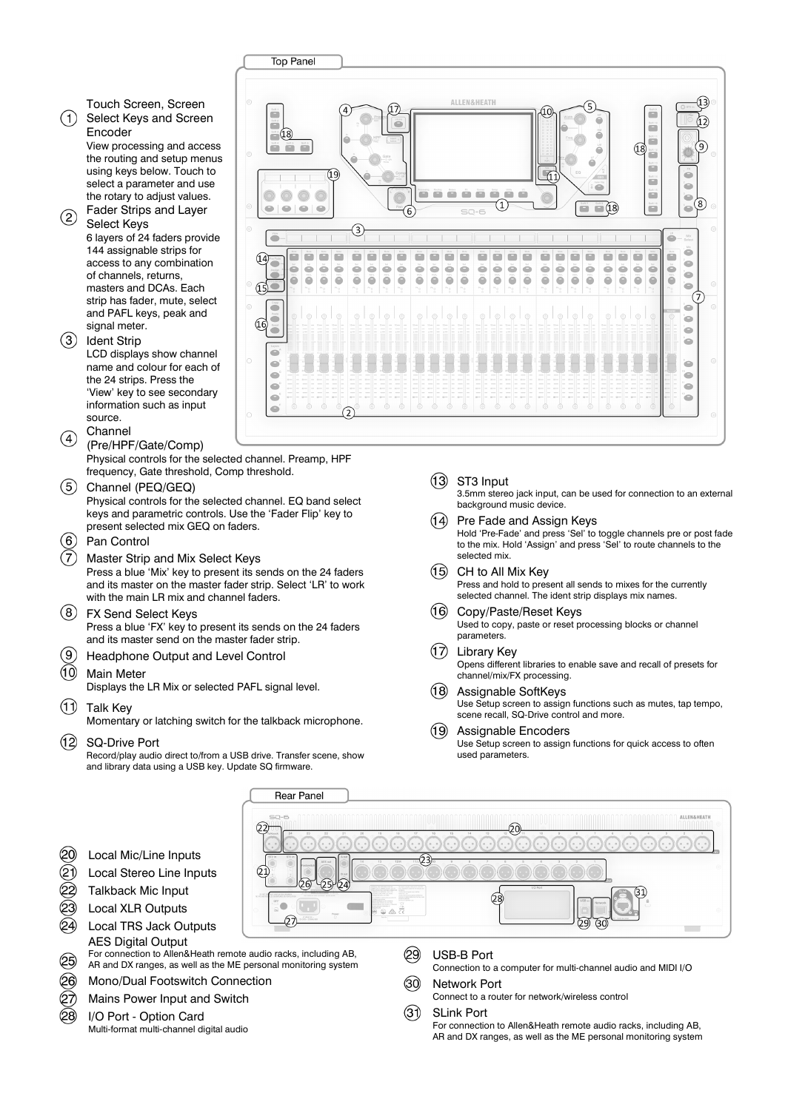Touch Screen, Screen  $(1)$ Select Keys and Screen

Encoder View processing and access the routing and setup menus using keys below. Touch to select a parameter and use the rotary to adjust values.

(2) Fader Strips and Layer Select Keys 6 layers of 24 faders provide 144 assignable strips for access to any combination of channels, returns, masters and DCAs. Each strip has fader, mute, select and PAFL keys, peak and signal meter.

(3) Ident Strip LCD displays show channel name and colour for each of the 24 strips. Press the 'View' key to see secondary information such as input source. Channel

- $\left( \widehat{4}\right)$ (Pre/HPF/Gate/Comp) Physical controls for the selected channel. Preamp, HPF frequency, Gate threshold, Comp threshold.
- $(5)$ Channel (PEQ/GEQ) Physical controls for the selected channel. EQ band select keys and parametric controls. Use the 'Fader Flip' key to present selected mix GEQ on faders.
- 6 Pan Control
- $(7)$ Master Strip and Mix Select Keys Press a blue 'Mix' key to present its sends on the 24 faders and its master on the master fader strip. Select 'LR' to work with the main LR mix and channel faders.
- FX Send Select Keys Press a blue 'FX' key to present its sends on the 24 faders and its master send on the master fader strip.
- $\left(9\right)$ Headphone Output and Level Control
- $\circ$ Main Meter Displays the LR Mix or selected PAFL signal level.
- Talk Key Momentary or latching switch for the talkback microphone.
- $\Omega$ SQ-Drive Port
	- Record/play audio direct to/from a USB drive. Transfer scene, show and library data using a USB key. Update SQ firmware.
- **Top Panel** ALLEN SUCATE 13 Æ  $\overline{a}$ ä č  $\overline{\phantom{a}}$  $=$   $(18)$  $\overline{a}$ ⊆°  $\sqrt{18}$ Ë 冗 ÷  $\equiv$ ò ssans ê é  $\circledcirc$  $\frac{548.33}{2}$  $\circledcirc$  $\circ$ e (8)  $(1)$  $\qquad \qquad \blacksquare$  $-18$ Soft 11<br>**Allan** è  $\qquad \qquad \blacksquare$  $\epsilon$  $\Rightarrow$ ö ö ë õ e ë ÷ ÷ ÷ e e ÷ ë e ÷ ÷ ÷ e ÷ e e e ÷ e ò ă Ă ă ă ă ă ă Ă Ă Ă ă ă ڈ ă ă Ă Ă Ă ă ă Ă ă ŏ ŏ ò ë Ä Ä ö ä  $\ddot{\bullet}$  $\ddot{\bullet}$ ö ä Ä ö ö ö ö ö ö ö ä Ä ö ö ö ö ö 'nп 65 Ĝ ò Ge ۰ ò è  $\equiv$ e  $\mathfrak{S}$ e  $\subset$ ò  $\subset$ ٠
	- $(13)$ ST3 Input

3.5mm stereo jack input, can be used for connection to an external background music device.

- $(14)$ Pre Fade and Assign Keys Hold 'Pre-Fade' and press 'Sel' to toggle channels pre or post fade to the mix. Hold 'Assign' and press 'Sel' to route channels to the selected mix.
- (15) CH to All Mix Key Press and hold to present all sends to mixes for the currently selected channel. The ident strip displays mix names.
- $(16)$ Copy/Paste/Reset Keys Used to copy, paste or reset processing blocks or channel parameters.
- $(17)$ Library Key Opens different libraries to enable save and recall of presets for channel/mix/FX processing.  $(18)$
- Assignable SoftKeys Use Setup screen to assign functions such as mutes, tap tempo, scene recall, SQ-Drive control and more.
- $\bigcirc$ Assignable Encoders Use Setup screen to assign functions for quick access to often used parameters.

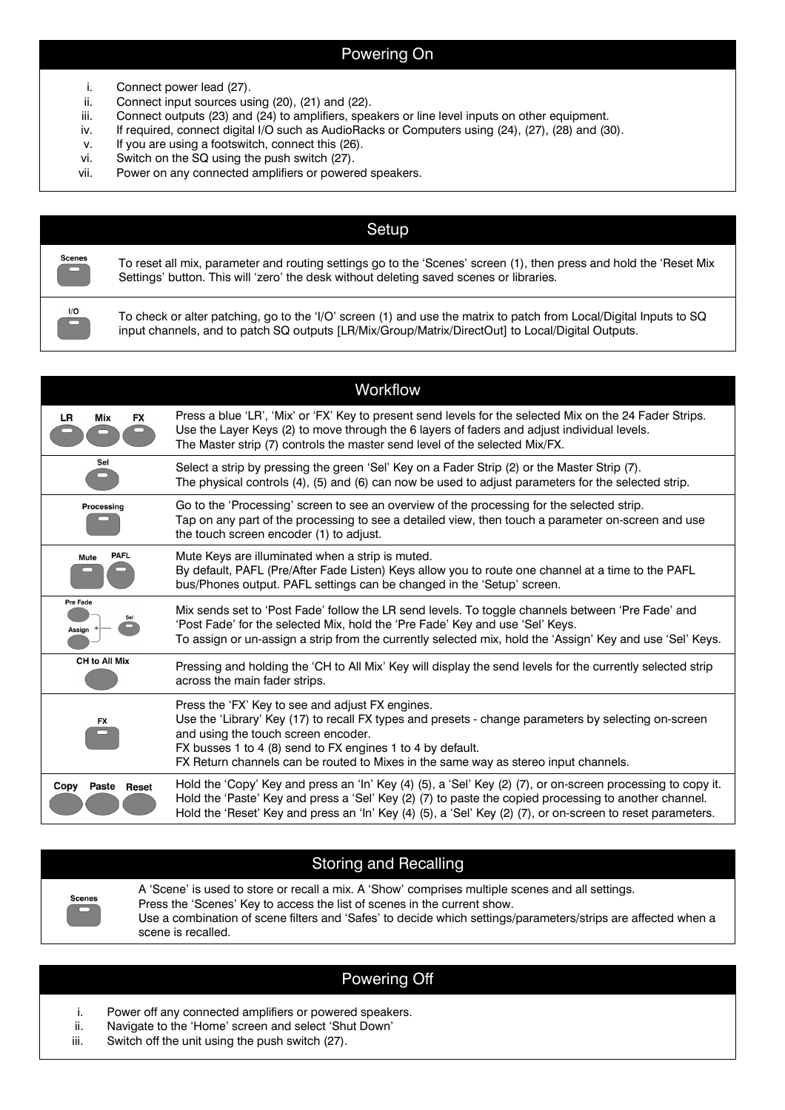#### Powering On

- i. Connect power lead (27).
- ii. Connect input sources using (20), (21) and (22).
- iii. Connect outputs (23) and (24) to amplifiers, speakers or line level inputs on other equipment.
- iv. If required, connect digital I/O such as AudioRacks or Computers using (24), (27), (28) and (30).
- v. If you are using a footswitch, connect this (26).
- vi. Switch on the SQ using the push switch (27).
- vii. Power on any connected amplifiers or powered speakers.

| Setup                                 |                                                                                                                                                                                                                         |  |  |  |  |
|---------------------------------------|-------------------------------------------------------------------------------------------------------------------------------------------------------------------------------------------------------------------------|--|--|--|--|
| <b>Scenes</b>                         | To reset all mix, parameter and routing settings go to the 'Scenes' screen (1), then press and hold the 'Reset Mix<br>Settings' button. This will 'zero' the desk without deleting saved scenes or libraries.           |  |  |  |  |
| $\overline{\phantom{a}}^{\text{I/O}}$ | To check or alter patching, go to the 'I/O' screen (1) and use the matrix to patch from Local/Digital Inputs to SQ<br>input channels, and to patch SQ outputs [LR/Mix/Group/Matrix/DirectOut] to Local/Digital Outputs. |  |  |  |  |
|                                       |                                                                                                                                                                                                                         |  |  |  |  |

|                           | Workflow                                                                                                                                                                                                                                                                                                                                             |  |  |  |
|---------------------------|------------------------------------------------------------------------------------------------------------------------------------------------------------------------------------------------------------------------------------------------------------------------------------------------------------------------------------------------------|--|--|--|
| LR.<br>Mix<br><b>FX</b>   | Press a blue 'LR', 'Mix' or 'FX' Key to present send levels for the selected Mix on the 24 Fader Strips.<br>Use the Layer Keys (2) to move through the 6 layers of faders and adjust individual levels.<br>The Master strip (7) controls the master send level of the selected Mix/FX.                                                               |  |  |  |
| Sel                       | Select a strip by pressing the green 'Sel' Key on a Fader Strip (2) or the Master Strip (7).<br>The physical controls (4), (5) and (6) can now be used to adjust parameters for the selected strip.                                                                                                                                                  |  |  |  |
| Processing                | Go to the 'Processing' screen to see an overview of the processing for the selected strip.<br>Tap on any part of the processing to see a detailed view, then touch a parameter on-screen and use<br>the touch screen encoder (1) to adjust.                                                                                                          |  |  |  |
| <b>PAFL</b><br>Mute       | Mute Keys are illuminated when a strip is muted.<br>By default, PAFL (Pre/After Fade Listen) Keys allow you to route one channel at a time to the PAFL<br>bus/Phones output. PAFL settings can be changed in the 'Setup' screen.                                                                                                                     |  |  |  |
| <b>Pre Fade</b><br>Assign | Mix sends set to 'Post Fade' follow the LR send levels. To toggle channels between 'Pre Fade' and<br>'Post Fade' for the selected Mix, hold the 'Pre Fade' Key and use 'Sel' Keys.<br>To assign or un-assign a strip from the currently selected mix, hold the 'Assign' Key and use 'Sel' Keys.                                                      |  |  |  |
| CH to All Mix             | Pressing and holding the 'CH to All Mix' Key will display the send levels for the currently selected strip<br>across the main fader strips.                                                                                                                                                                                                          |  |  |  |
| <b>FX</b>                 | Press the 'FX' Key to see and adjust FX engines.<br>Use the 'Library' Key (17) to recall FX types and presets - change parameters by selecting on-screen<br>and using the touch screen encoder.<br>FX busses 1 to 4 (8) send to FX engines 1 to 4 by default.<br>FX Return channels can be routed to Mixes in the same way as stereo input channels. |  |  |  |
| Copy<br>Paste<br>Reset    | Hold the 'Copy' Key and press an 'In' Key (4) (5), a 'Sel' Key (2) (7), or on-screen processing to copy it.<br>Hold the 'Paste' Key and press a 'Sel' Key (2) (7) to paste the copied processing to another channel.<br>Hold the 'Reset' Key and press an 'In' Key (4) (5), a 'Sel' Key (2) (7), or on-screen to reset parameters.                   |  |  |  |

## Storing and Recalling

A 'Scene' is used to store or recall a mix. A 'Show' comprises multiple scenes and all settings. Press the 'Scenes' Key to access the list of scenes in the current show. Use a combination of scene filters and 'Safes' to decide which settings/parameters/strips are affected when a scene is recalled.

#### Powering Off

- i. Power off any connected amplifiers or powered speakers.
- ii. Navigate to the 'Home' screen and select 'Shut Down'
- iii. Switch off the unit using the push switch (27).

**Scenes**